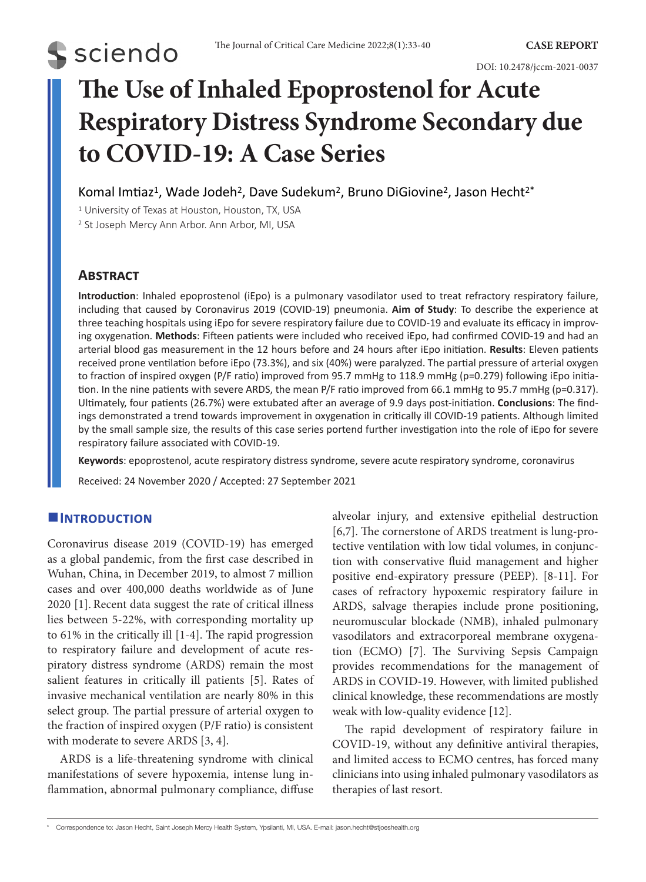# **The Use of Inhaled Epoprostenol for Acute Respiratory Distress Syndrome Secondary due to COVID-19: A Case Series**

Komal Imtiaz<sup>1</sup>, Wade Jodeh<sup>2</sup>, Dave Sudekum<sup>2</sup>, Bruno DiGiovine<sup>2</sup>, Jason Hecht<sup>2\*</sup>

<sup>1</sup> University of Texas at Houston, Houston, TX, USA

<sup>2</sup> St Joseph Mercy Ann Arbor. Ann Arbor, MI, USA

# **Abstract**

**S** sciendo

**Introduction**: Inhaled epoprostenol (iEpo) is a pulmonary vasodilator used to treat refractory respiratory failure, including that caused by Coronavirus 2019 (COVID-19) pneumonia. **Aim of Study**: To describe the experience at three teaching hospitals using iEpo for severe respiratory failure due to COVID-19 and evaluate its efficacy in improving oxygenation. **Methods**: Fifteen patients were included who received iEpo, had confirmed COVID-19 and had an arterial blood gas measurement in the 12 hours before and 24 hours after iEpo initiation. **Results**: Eleven patients received prone ventilation before iEpo (73.3%), and six (40%) were paralyzed. The partial pressure of arterial oxygen to fraction of inspired oxygen (P/F ratio) improved from 95.7 mmHg to 118.9 mmHg (p=0.279) following iEpo initiation. In the nine patients with severe ARDS, the mean P/F ratio improved from 66.1 mmHg to 95.7 mmHg (p=0.317). Ultimately, four patients (26.7%) were extubated after an average of 9.9 days post-initiation. **Conclusions**: The findings demonstrated a trend towards improvement in oxygenation in critically ill COVID-19 patients. Although limited by the small sample size, the results of this case series portend further investigation into the role of iEpo for severe respiratory failure associated with COVID-19.

**Keywords**: epoprostenol, acute respiratory distress syndrome, severe acute respiratory syndrome, coronavirus

Received: 24 November 2020 / Accepted: 27 September 2021

# **Introduction**

Coronavirus disease 2019 (COVID-19) has emerged as a global pandemic, from the first case described in Wuhan, China, in December 2019, to almost 7 million cases and over 400,000 deaths worldwide as of June 2020 [1]. Recent data suggest the rate of critical illness lies between 5-22%, with corresponding mortality up to 61% in the critically ill [1-4]. The rapid progression to respiratory failure and development of acute respiratory distress syndrome (ARDS) remain the most salient features in critically ill patients [5]. Rates of invasive mechanical ventilation are nearly 80% in this select group. The partial pressure of arterial oxygen to the fraction of inspired oxygen (P/F ratio) is consistent with moderate to severe ARDS [3, 4].

ARDS is a life-threatening syndrome with clinical manifestations of severe hypoxemia, intense lung inflammation, abnormal pulmonary compliance, diffuse alveolar injury, and extensive epithelial destruction [6,7]. The cornerstone of ARDS treatment is lung-protective ventilation with low tidal volumes, in conjunction with conservative fluid management and higher positive end-expiratory pressure (PEEP). [8-11]. For cases of refractory hypoxemic respiratory failure in ARDS, salvage therapies include prone positioning, neuromuscular blockade (NMB), inhaled pulmonary vasodilators and extracorporeal membrane oxygenation (ECMO) [7]. The Surviving Sepsis Campaign provides recommendations for the management of ARDS in COVID-19. However, with limited published clinical knowledge, these recommendations are mostly weak with low-quality evidence [12].

The rapid development of respiratory failure in COVID-19, without any definitive antiviral therapies, and limited access to ECMO centres, has forced many clinicians into using inhaled pulmonary vasodilators as therapies of last resort.

\* Correspondence to: Jason Hecht, Saint Joseph Mercy Health System, Ypsilanti, MI, USA. E-mail: jason.hecht@stjoeshealth.org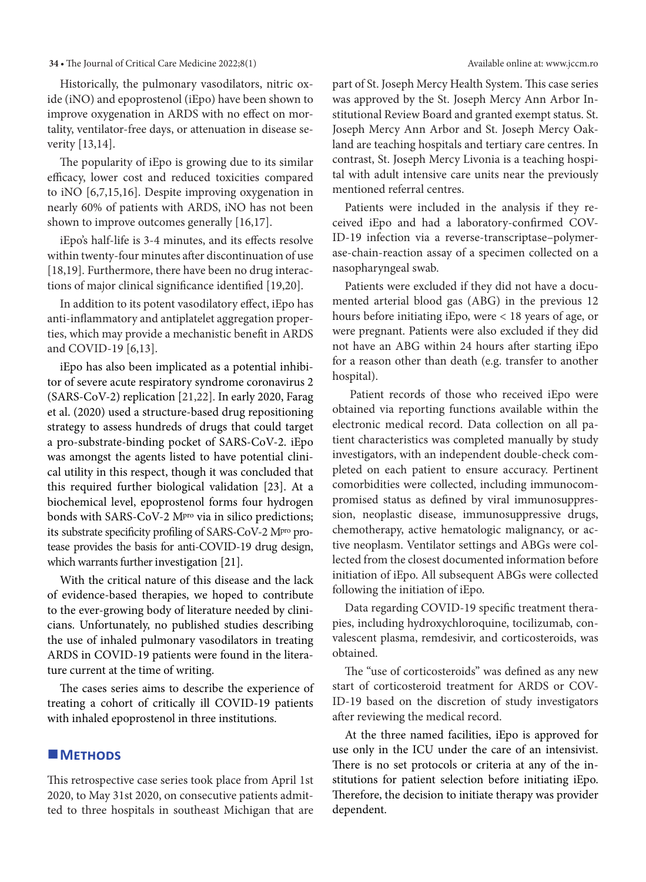Historically, the pulmonary vasodilators, nitric oxide (iNO) and epoprostenol (iEpo) have been shown to improve oxygenation in ARDS with no effect on mortality, ventilator-free days, or attenuation in disease severity [13,14].

The popularity of iEpo is growing due to its similar efficacy, lower cost and reduced toxicities compared to iNO [6,7,15,16]. Despite improving oxygenation in nearly 60% of patients with ARDS, iNO has not been shown to improve outcomes generally [16,17].

iEpo's half-life is 3-4 minutes, and its effects resolve within twenty-four minutes after discontinuation of use [18,19]. Furthermore, there have been no drug interactions of major clinical significance identified [19,20].

In addition to its potent vasodilatory effect, iEpo has anti-inflammatory and antiplatelet aggregation properties, which may provide a mechanistic benefit in ARDS and COVID-19 [6,13].

iEpo has also been implicated as a potential inhibitor of severe acute respiratory syndrome coronavirus 2 (SARS-CoV-2) replication [21,22]. In early 2020, Farag et al. (2020) used a structure-based drug repositioning strategy to assess hundreds of drugs that could target a pro-substrate-binding pocket of SARS-CoV-2. iEpo was amongst the agents listed to have potential clinical utility in this respect, though it was concluded that this required further biological validation [23]. At a biochemical level, epoprostenol forms four hydrogen bonds with SARS-CoV-2 M<sup>pro</sup> via in silico predictions; its substrate specificity profiling of SARS-CoV-2 Mpro protease provides the basis for anti-COVID-19 drug design, which warrants further investigation [21].

With the critical nature of this disease and the lack of evidence-based therapies, we hoped to contribute to the ever-growing body of literature needed by clinicians. Unfortunately, no published studies describing the use of inhaled pulmonary vasodilators in treating ARDS in COVID-19 patients were found in the literature current at the time of writing.

The cases series aims to describe the experience of treating a cohort of critically ill COVID-19 patients with inhaled epoprostenol in three institutions.

### **METHODS**

This retrospective case series took place from April 1st 2020, to May 31st 2020, on consecutive patients admitted to three hospitals in southeast Michigan that are part of St. Joseph Mercy Health System. This case series was approved by the St. Joseph Mercy Ann Arbor Institutional Review Board and granted exempt status. St. Joseph Mercy Ann Arbor and St. Joseph Mercy Oakland are teaching hospitals and tertiary care centres. In contrast, St. Joseph Mercy Livonia is a teaching hospital with adult intensive care units near the previously mentioned referral centres.

Patients were included in the analysis if they received iEpo and had a laboratory-confirmed COV-ID-19 infection via a reverse-transcriptase–polymerase-chain-reaction assay of a specimen collected on a nasopharyngeal swab.

Patients were excluded if they did not have a documented arterial blood gas (ABG) in the previous 12 hours before initiating iEpo, were < 18 years of age, or were pregnant. Patients were also excluded if they did not have an ABG within 24 hours after starting iEpo for a reason other than death (e.g. transfer to another hospital).

 Patient records of those who received iEpo were obtained via reporting functions available within the electronic medical record. Data collection on all patient characteristics was completed manually by study investigators, with an independent double-check completed on each patient to ensure accuracy. Pertinent comorbidities were collected, including immunocompromised status as defined by viral immunosuppression, neoplastic disease, immunosuppressive drugs, chemotherapy, active hematologic malignancy, or active neoplasm. Ventilator settings and ABGs were collected from the closest documented information before initiation of iEpo. All subsequent ABGs were collected following the initiation of iEpo.

Data regarding COVID-19 specific treatment therapies, including hydroxychloroquine, tocilizumab, convalescent plasma, remdesivir, and corticosteroids, was obtained.

The "use of corticosteroids" was defined as any new start of corticosteroid treatment for ARDS or COV-ID-19 based on the discretion of study investigators after reviewing the medical record.

At the three named facilities, iEpo is approved for use only in the ICU under the care of an intensivist. There is no set protocols or criteria at any of the institutions for patient selection before initiating iEpo. Therefore, the decision to initiate therapy was provider dependent.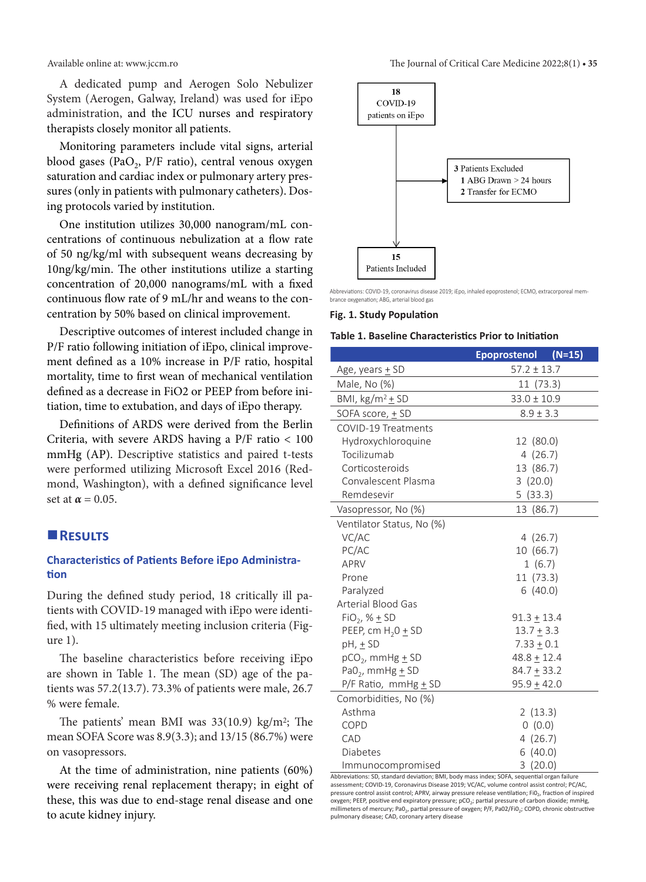A dedicated pump and Aerogen Solo Nebulizer System (Aerogen, Galway, Ireland) was used for iEpo administration, and the ICU nurses and respiratory therapists closely monitor all patients.

Monitoring parameters include vital signs, arterial blood gases (PaO<sub>2</sub>, P/F ratio), central venous oxygen saturation and cardiac index or pulmonary artery pressures (only in patients with pulmonary catheters). Dosing protocols varied by institution.

One institution utilizes 30,000 nanogram/mL concentrations of continuous nebulization at a flow rate of 50 ng/kg/ml with subsequent weans decreasing by 10ng/kg/min. The other institutions utilize a starting concentration of 20,000 nanograms/mL with a fixed continuous flow rate of 9 mL/hr and weans to the concentration by 50% based on clinical improvement.

Descriptive outcomes of interest included change in P/F ratio following initiation of iEpo, clinical improvement defined as a 10% increase in P/F ratio, hospital mortality, time to first wean of mechanical ventilation defined as a decrease in FiO2 or PEEP from before initiation, time to extubation, and days of iEpo therapy.

Definitions of ARDS were derived from the Berlin Criteria, with severe ARDS having a P/F ratio < 100 mmHg (AP). Descriptive statistics and paired t-tests were performed utilizing Microsoft Excel 2016 (Redmond, Washington), with a defined significance level set at  $\alpha = 0.05$ .

### **Results**

## **Characteristics of Patients Before iEpo Administration**

During the defined study period, 18 critically ill patients with COVID-19 managed with iEpo were identified, with 15 ultimately meeting inclusion criteria (Figure 1).

The baseline characteristics before receiving iEpo are shown in Table 1. The mean (SD) age of the patients was 57.2(13.7). 73.3% of patients were male, 26.7 % were female.

The patients' mean BMI was  $33(10.9)$  kg/m<sup>2</sup>; The mean SOFA Score was 8.9(3.3); and 13/15 (86.7%) were on vasopressors.

At the time of administration, nine patients (60%) were receiving renal replacement therapy; in eight of these, this was due to end-stage renal disease and one to acute kidney injury.



Abbreviations: COVID-19, coronavirus disease 2019; iEpo, inhaled epoprostenol; ECMO, extracorporeal membrance oxygenation; ABG, arterial blood gas

#### **Fig. 1. Study Population**

#### **Table 1. Baseline Characteristics Prior to Initiation**

|                                  | $(N=15)$<br><b>Epoprostenol</b> |  |  |  |  |  |  |  |
|----------------------------------|---------------------------------|--|--|--|--|--|--|--|
| Age, years <u>+</u> SD           | $57.2 \pm 13.7$                 |  |  |  |  |  |  |  |
| Male, No (%)                     | 11 (73.3)                       |  |  |  |  |  |  |  |
| BMI, $\text{kg/m}^2$ + SD        | $33.0 \pm 10.9$                 |  |  |  |  |  |  |  |
| SOFA score, + SD                 | $8.9 \pm 3.3$                   |  |  |  |  |  |  |  |
| COVID-19 Treatments              |                                 |  |  |  |  |  |  |  |
| Hydroxychloroquine               | 12 (80.0)                       |  |  |  |  |  |  |  |
| Tocilizumab                      | 4(26.7)                         |  |  |  |  |  |  |  |
| Corticosteroids                  | 13 (86.7)                       |  |  |  |  |  |  |  |
| Convalescent Plasma              | 3(20.0)                         |  |  |  |  |  |  |  |
| Remdesevir                       | 5(33.3)                         |  |  |  |  |  |  |  |
| Vasopressor, No (%)              | 13 (86.7)                       |  |  |  |  |  |  |  |
| Ventilator Status, No (%)        |                                 |  |  |  |  |  |  |  |
| VC/AC                            | 4(26.7)                         |  |  |  |  |  |  |  |
| PC/AC                            | 10 (66.7)                       |  |  |  |  |  |  |  |
| APRV                             | 1(6.7)                          |  |  |  |  |  |  |  |
| Prone                            | 11 (73.3)                       |  |  |  |  |  |  |  |
| Paralyzed                        | 6(40.0)                         |  |  |  |  |  |  |  |
| <b>Arterial Blood Gas</b>        |                                 |  |  |  |  |  |  |  |
| $FiO2$ , % $\pm$ SD              | $91.3 + 13.4$                   |  |  |  |  |  |  |  |
| PEEP, cm $H_2O \pm SD$           | $13.7 + 3.3$                    |  |  |  |  |  |  |  |
| $pH, \pm SD$                     | $7.33 \pm 0.1$                  |  |  |  |  |  |  |  |
| $pCO2$ , mmHg $\pm$ SD           | $48.8 \pm 12.4$                 |  |  |  |  |  |  |  |
| PaO <sub>2</sub> , mmHg $\pm$ SD | $84.7 \pm 33.2$                 |  |  |  |  |  |  |  |
| $P/F$ Ratio, mmHg $\pm$ SD       | $95.9 \pm 42.0$                 |  |  |  |  |  |  |  |
| Comorbidities, No (%)            |                                 |  |  |  |  |  |  |  |
| Asthma                           | 2(13.3)                         |  |  |  |  |  |  |  |
| <b>COPD</b>                      | 0(0.0)                          |  |  |  |  |  |  |  |
| CAD                              | 4(26.7)                         |  |  |  |  |  |  |  |
| Diabetes                         | 6(40.0)                         |  |  |  |  |  |  |  |
| Immunocompromised                | 3(20.0)                         |  |  |  |  |  |  |  |

Abbreviations: SD, standard deviation; BMI, body mass index; SOFA, sequential organ failure assessment; COVID-19, Coronavirus Disease 2019; VC/AC, volume control assist control; PC/AC, pressure control assist control; APRV, airway pressure release ventilation; FiO<sub>2</sub>, fraction of inspired oxygen; PEEP, positive end expiratory pressure; pCO<sub>2</sub>; partial pressure of carbon dioxide; mmHg, millimeters of mercury; Pa0<sub>2</sub>, partial pressure of oxygen; P/F, Pa02/Fi0<sub>2</sub>; COPD, chronic obstructive pulmonary disease; CAD, coronary artery disease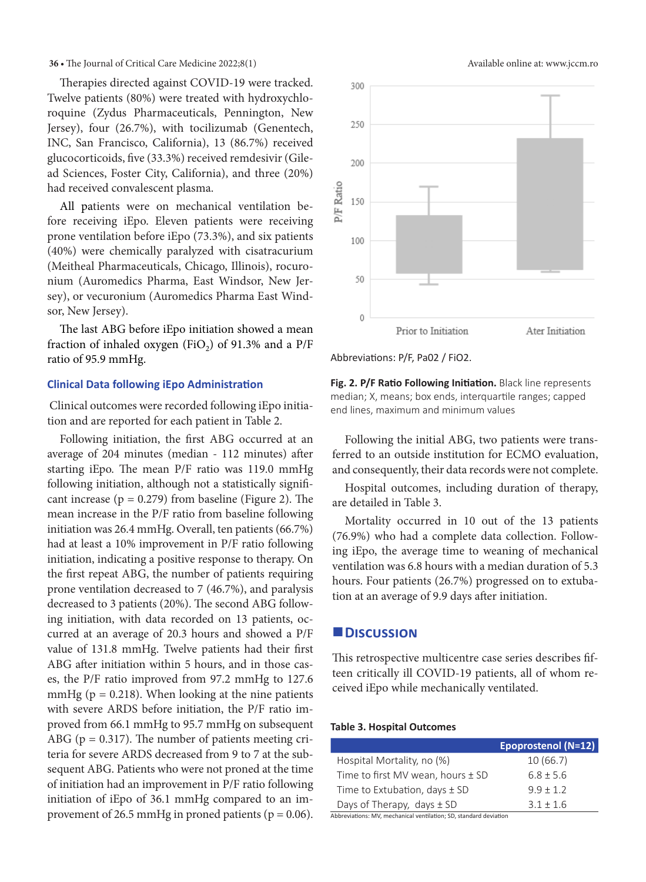Therapies directed against COVID-19 were tracked. Twelve patients (80%) were treated with hydroxychloroquine (Zydus Pharmaceuticals, Pennington, New Jersey), four (26.7%), with tocilizumab (Genentech, INC, San Francisco, California), 13 (86.7%) received glucocorticoids, five (33.3%) received remdesivir (Gilead Sciences, Foster City, California), and three (20%) had received convalescent plasma.

All patients were on mechanical ventilation before receiving iEpo. Eleven patients were receiving prone ventilation before iEpo (73.3%), and six patients (40%) were chemically paralyzed with cisatracurium (Meitheal Pharmaceuticals, Chicago, Illinois), rocuronium (Auromedics Pharma, East Windsor, New Jersey), or vecuronium (Auromedics Pharma East Windsor, New Jersey).

The last ABG before iEpo initiation showed a mean fraction of inhaled oxygen (FiO<sub>2</sub>) of 91.3% and a P/F ratio of 95.9 mmHg.

#### **Clinical Data following iEpo Administration**

 Clinical outcomes were recorded following iEpo initiation and are reported for each patient in Table 2.

Following initiation, the first ABG occurred at an average of 204 minutes (median - 112 minutes) after starting iEpo. The mean P/F ratio was 119.0 mmHg following initiation, although not a statistically significant increase ( $p = 0.279$ ) from baseline (Figure 2). The mean increase in the P/F ratio from baseline following initiation was 26.4 mmHg. Overall, ten patients (66.7%) had at least a 10% improvement in P/F ratio following initiation, indicating a positive response to therapy. On the first repeat ABG, the number of patients requiring prone ventilation decreased to 7 (46.7%), and paralysis decreased to 3 patients (20%). The second ABG following initiation, with data recorded on 13 patients, occurred at an average of 20.3 hours and showed a P/F value of 131.8 mmHg. Twelve patients had their first ABG after initiation within 5 hours, and in those cases, the P/F ratio improved from 97.2 mmHg to 127.6 mmHg ( $p = 0.218$ ). When looking at the nine patients with severe ARDS before initiation, the P/F ratio improved from 66.1 mmHg to 95.7 mmHg on subsequent ABG ( $p = 0.317$ ). The number of patients meeting criteria for severe ARDS decreased from 9 to 7 at the subsequent ABG. Patients who were not proned at the time of initiation had an improvement in P/F ratio following initiation of iEpo of 36.1 mmHg compared to an improvement of 26.5 mmHg in proned patients ( $p = 0.06$ ).



Abbreviations: P/F, Pa02 / FiO2.

**Fig. 2. P/F Ratio Following Initiation.** Black line represents median; X, means; box ends, interquartile ranges; capped end lines, maximum and minimum values

Following the initial ABG, two patients were transferred to an outside institution for ECMO evaluation, and consequently, their data records were not complete.

Hospital outcomes, including duration of therapy, are detailed in Table 3.

Mortality occurred in 10 out of the 13 patients (76.9%) who had a complete data collection. Following iEpo, the average time to weaning of mechanical ventilation was 6.8 hours with a median duration of 5.3 hours. Four patients (26.7%) progressed on to extubation at an average of 9.9 days after initiation.

#### **Discussion**

This retrospective multicentre case series describes fifteen critically ill COVID-19 patients, all of whom received iEpo while mechanically ventilated.

#### **Table 3. Hospital Outcomes**

|                                                                   | <b>Epoprostenol (N=12)</b> |
|-------------------------------------------------------------------|----------------------------|
| Hospital Mortality, no (%)                                        | 10(66.7)                   |
| Time to first MV wean, hours ± SD                                 | $6.8 + 5.6$                |
| Time to Extubation, days $\pm$ SD                                 | $9.9 \pm 1.2$              |
| Days of Therapy, days $\pm$ SD                                    | $3.1 \pm 1.6$              |
| Abbreviations: MV, mechanical ventilation; SD, standard deviation |                            |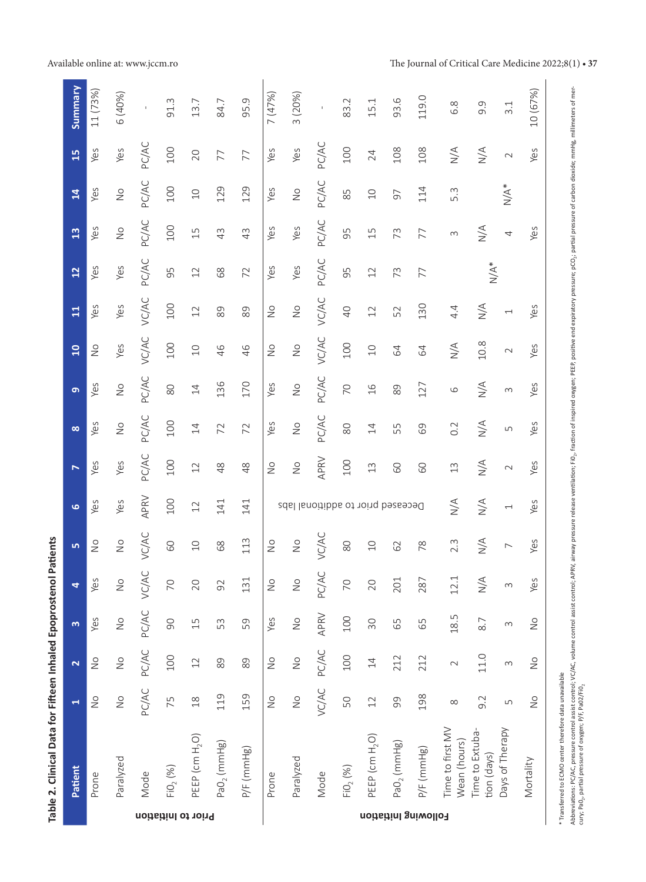|                                                         | $\frac{5}{1}$<br>$\overline{1}$<br>13<br>12<br>$\Xi$ | Yes<br>Yes<br>Yes<br>Yes<br>Yes | Yes<br>$\stackrel{\circ}{\simeq}$<br>$\frac{\circ}{\sim}$<br>Yes<br>Yes | PC/AC<br>PC/AC<br>PC/AC<br><b>PC/AC</b><br>VC/AC | 100<br>100<br>100<br>95<br>100 | 20<br>$\overline{C}$<br>15<br>$\overline{12}$<br>12 | 77<br>129<br>43<br>89<br>89    | 77<br>129<br>43<br>72<br>89 | Yes<br>Yes<br>Yes<br>Yes<br>$\overset{\circ}{\simeq}$ | Yes<br>$\overset{\circ}{\simeq}$<br>Yes<br>Yes<br>$\overset{\circ}{\simeq}$ | PC/AC<br>PC/AC<br>PC/AC<br>PC/AC<br><b>VC/AC</b>  | 100<br>85<br>95<br>95<br>$\overline{40}$ | 24<br>$\Box$<br>15<br>12<br>12   | 108<br>57<br>73<br>73<br>52   | 108<br>114<br>77<br>77<br>130 | $\frac{4}{\sqrt{2}}$<br>5.3<br>$\sim$<br>4.4 | $\sum_{N}$<br>$\frac{4}{2}$<br>$N/A^*$<br>$\frac{4}{\sqrt{2}}$ | $\sim$<br>$N/A^*$<br>4<br>$\overline{\phantom{0}}$   |                                                          |
|---------------------------------------------------------|------------------------------------------------------|---------------------------------|-------------------------------------------------------------------------|--------------------------------------------------|--------------------------------|-----------------------------------------------------|--------------------------------|-----------------------------|-------------------------------------------------------|-----------------------------------------------------------------------------|---------------------------------------------------|------------------------------------------|----------------------------------|-------------------------------|-------------------------------|----------------------------------------------|----------------------------------------------------------------|------------------------------------------------------|----------------------------------------------------------|
|                                                         | $\overline{10}$<br>ത                                 | $\frac{0}{2}$<br>Yes            | Yes<br>$\stackrel{\circ}{\simeq}$                                       | <b>VC/AC</b><br>PC/AC                            | 100<br>$\rm 80$                | $\overline{C}$<br>14                                | 46<br>136                      | 46<br>170                   | $\overset{\circ}{\simeq}$<br>Yes                      | $\stackrel{\circ}{\simeq}$<br>$\frac{0}{2}$                                 | <b>VC/AC</b><br>PC/AC                             | 100<br>$\overline{C}$                    | $\Box$<br>16                     | 64<br>89                      | 64<br>127                     | $\frac{4}{\sqrt{2}}$<br>$\circ$              | $10.8\,$<br>$\stackrel{\triangle}{\geq}$                       | $\sim$<br>$\sim$                                     |                                                          |
|                                                         | $\infty$<br>$\triangleright$                         | Yes<br>Yes                      | $\stackrel{\circ}{\simeq}$<br>Yes                                       | PC/AC<br>PC/AC                                   | 100<br>100                     | $\overline{4}$<br>12                                | 72<br>$\frac{8}{3}$            | 72<br>48                    | Yes<br>$\stackrel{\circ}{\simeq}$                     | $\stackrel{\circ}{\simeq}$<br>$\stackrel{\circ}{\simeq}$                    | PC/AC<br>APRV                                     | $\infty$<br>100                          | 14<br>$\mathfrak{L}$             | 55<br>60                      | 69<br>60                      | 0.2<br>13                                    | $\sum\limits_{i=1}^N$<br>$\sum_{N}$                            | LN<br>$\sim$                                         |                                                          |
| Patients                                                | $\bullet$<br><b>LO</b>                               | Yes<br>$\frac{1}{2}$            | Yes<br>$\stackrel{\circ}{\simeq}$                                       | APRV<br><b>VC/AC</b>                             | 100<br>60                      | 12<br>$\overline{C}$                                | 141<br>68                      | 141<br>113                  | $\overset{\circ}{\simeq}$                             | $\stackrel{\circ}{\simeq}$                                                  | Deceased prior to additional labs<br><b>VC/AC</b> | 80                                       | $\Box$                           | 62                            | 78                            | $\frac{1}{2}$<br>$2.\overline{3}$            | $\sum_{N}$<br>$\underset{\text{N}}{\leq}$                      | $\overline{\phantom{0}}$<br>$\overline{\phantom{0}}$ |                                                          |
|                                                         | 4                                                    | Yes<br>Yes                      | $\frac{1}{2}$<br>$\stackrel{\circ}{\simeq}$                             | <b>VC/AC</b><br>PC/AC                            | $\overline{C}$<br>90           | 20<br>15                                            | 92<br>53                       | 131<br>59                   | $\overset{\circ}{\simeq}$<br>Yes                      | $\frac{0}{2}$<br>$\stackrel{\circ}{\simeq}$                                 | PC/AC<br>APRV                                     | 70<br>100                                | 20<br>30                         | 201<br>65                     | 287<br>59                     | 12.1<br>18.5                                 | $\frac{4}{2}$<br>8.7                                           | $\infty$<br>$\sim$                                   |                                                          |
|                                                         | m<br>$\mathbf{\tilde{z}}$                            | $\frac{0}{2}$                   | $\frac{1}{2}$                                                           | PC/AC                                            | 100                            | 12                                                  | 89                             | 89                          | $\overset{\circ}{\simeq}$                             | $\frac{0}{2}$                                                               | PC/AC                                             | 100                                      | 14                               | 212                           | 212                           | $\sim$                                       | 11.0                                                           | $\sim$                                               | $\stackrel{\circ}{\simeq}$<br>$\stackrel{\circ}{\simeq}$ |
| Table 2. Clinical Data for Fifteen Inhaled Epoprostenol | $\blacktriangleleft$<br>Patient                      | $\frac{1}{2}$<br>Prone          | $\overset{\circ}{\simeq}$<br>Paralyzed                                  | PC/AC<br>Mode                                    | 75<br>FIO <sub>2</sub> (%)     | $\frac{8}{1}$<br>PEEP (cm H <sub>2</sub> O)         | 119<br>PaO <sub>2</sub> (mmHg) | 159<br>$P/F$ (mmHg)         | $\stackrel{\circ}{\simeq}$<br>Prone                   | $\frac{1}{2}$<br>Paralyzed                                                  | <b>VC/AC</b><br>Mode                              | 50<br>FIO <sub>2</sub> (%)               | 12<br>PEEP (cm H <sub>2</sub> O) | 99<br>PaO <sub>2</sub> (mmHg) | 198<br>$P/F$ (mmHg)           | $\infty$<br>Time to first MV<br>Wean (hours) | 9.2<br>Time to Extuba-<br>tion (days)                          | LN<br>Days of Therapy                                | $\frac{1}{2}$<br>Mortality                               |

Table 2. Clinical Data for Fifteen Inhaled Epoprostenol Patients

Abbreviations: PC/AC, pressure control assist control assist control; ARRV, airway pressure release ventilation; FiQ<sub>2</sub>, fraction of inspired oxgen; PEEP, positive end expliret or pressure; pCO<sub>2;</sub> partial pressure of carb Abbreviations: PC/AC, pressure control assist control assist control; APRV, airway pressure release ventilation; FiG, fraction of inspired oxygen; PEEP, positive end expiratory pressure; pCC,; partial pressure of carbon di cury; Pa0., partial pressure of oxygen; P/F, Pa02/Fi0.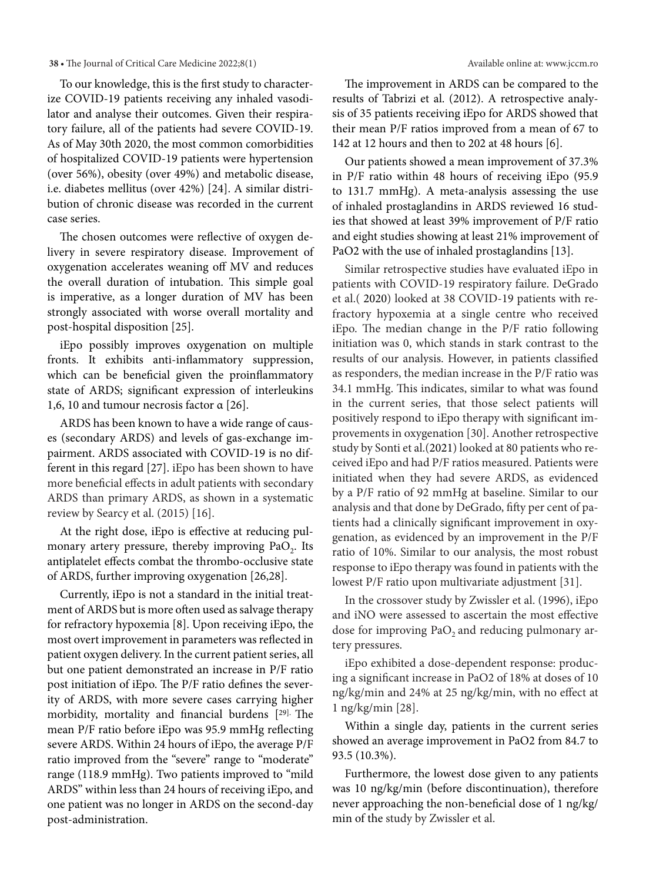To our knowledge, this is the first study to characterize COVID-19 patients receiving any inhaled vasodilator and analyse their outcomes. Given their respiratory failure, all of the patients had severe COVID-19. As of May 30th 2020, the most common comorbidities of hospitalized COVID-19 patients were hypertension (over 56%), obesity (over 49%) and metabolic disease, i.e. diabetes mellitus (over 42%) [24]. A similar distribution of chronic disease was recorded in the current case series.

The chosen outcomes were reflective of oxygen delivery in severe respiratory disease. Improvement of oxygenation accelerates weaning off MV and reduces the overall duration of intubation. This simple goal is imperative, as a longer duration of MV has been strongly associated with worse overall mortality and post-hospital disposition [25].

iEpo possibly improves oxygenation on multiple fronts. It exhibits anti-inflammatory suppression, which can be beneficial given the proinflammatory state of ARDS; significant expression of interleukins 1,6, 10 and tumour necrosis factor α [26].

ARDS has been known to have a wide range of causes (secondary ARDS) and levels of gas-exchange impairment. ARDS associated with COVID-19 is no different in this regard [27]. iEpo has been shown to have more beneficial effects in adult patients with secondary ARDS than primary ARDS, as shown in a systematic review by Searcy et al. (2015) [16].

At the right dose, iEpo is effective at reducing pulmonary artery pressure, thereby improving  $PaO<sub>2</sub>$ . Its antiplatelet effects combat the thrombo-occlusive state of ARDS, further improving oxygenation [26,28].

Currently, iEpo is not a standard in the initial treatment of ARDS but is more often used as salvage therapy for refractory hypoxemia [8]. Upon receiving iEpo, the most overt improvement in parameters was reflected in patient oxygen delivery. In the current patient series, all but one patient demonstrated an increase in P/F ratio post initiation of iEpo. The P/F ratio defines the severity of ARDS, with more severe cases carrying higher morbidity, mortality and financial burdens [29]. The mean P/F ratio before iEpo was 95.9 mmHg reflecting severe ARDS. Within 24 hours of iEpo, the average P/F ratio improved from the "severe" range to "moderate" range (118.9 mmHg). Two patients improved to "mild ARDS" within less than 24 hours of receiving iEpo, and one patient was no longer in ARDS on the second-day post-administration.

The improvement in ARDS can be compared to the results of Tabrizi et al. (2012). A retrospective analysis of 35 patients receiving iEpo for ARDS showed that their mean P/F ratios improved from a mean of 67 to 142 at 12 hours and then to 202 at 48 hours [6].

Our patients showed a mean improvement of 37.3% in P/F ratio within 48 hours of receiving iEpo (95.9 to 131.7 mmHg). A meta-analysis assessing the use of inhaled prostaglandins in ARDS reviewed 16 studies that showed at least 39% improvement of P/F ratio and eight studies showing at least 21% improvement of PaO2 with the use of inhaled prostaglandins [13].

Similar retrospective studies have evaluated iEpo in patients with COVID-19 respiratory failure. DeGrado et al.( 2020) looked at 38 COVID-19 patients with refractory hypoxemia at a single centre who received iEpo. The median change in the P/F ratio following initiation was 0, which stands in stark contrast to the results of our analysis. However, in patients classified as responders, the median increase in the P/F ratio was 34.1 mmHg. This indicates, similar to what was found in the current series, that those select patients will positively respond to iEpo therapy with significant improvements in oxygenation [30]. Another retrospective study by Sonti et al.(2021) looked at 80 patients who received iEpo and had P/F ratios measured. Patients were initiated when they had severe ARDS, as evidenced by a P/F ratio of 92 mmHg at baseline. Similar to our analysis and that done by DeGrado, fifty per cent of patients had a clinically significant improvement in oxygenation, as evidenced by an improvement in the P/F ratio of 10%. Similar to our analysis, the most robust response to iEpo therapy was found in patients with the lowest P/F ratio upon multivariate adjustment [31].

In the crossover study by Zwissler et al. (1996), iEpo and iNO were assessed to ascertain the most effective dose for improving  $PaO<sub>2</sub>$  and reducing pulmonary artery pressures.

iEpo exhibited a dose-dependent response: producing a significant increase in PaO2 of 18% at doses of 10 ng/kg/min and 24% at 25 ng/kg/min, with no effect at 1 ng/kg/min [28].

Within a single day, patients in the current series showed an average improvement in PaO2 from 84.7 to 93.5 (10.3%).

Furthermore, the lowest dose given to any patients was 10 ng/kg/min (before discontinuation), therefore never approaching the non-beneficial dose of 1 ng/kg/ min of the study by Zwissler et al.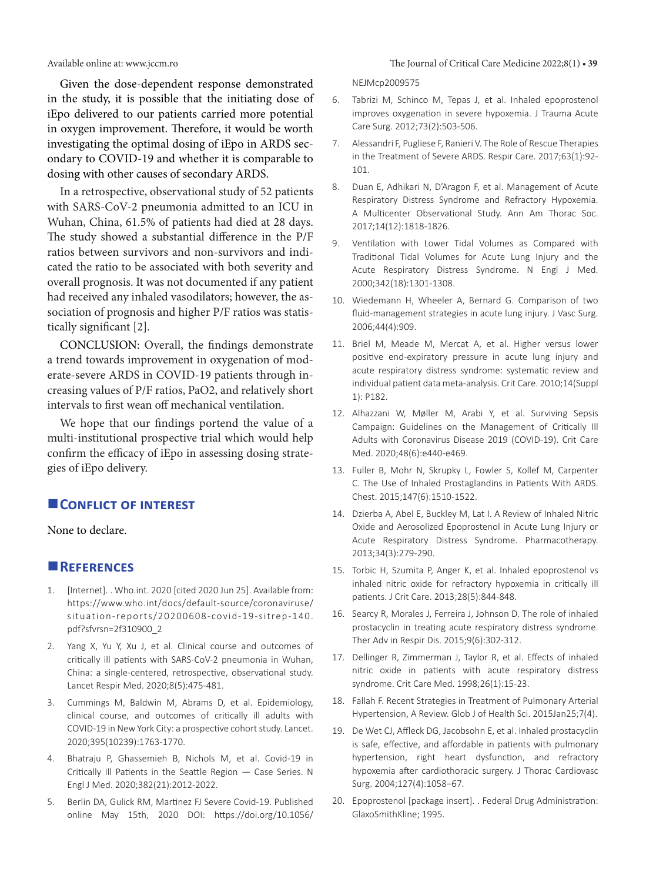Given the dose-dependent response demonstrated in the study, it is possible that the initiating dose of iEpo delivered to our patients carried more potential in oxygen improvement. Therefore, it would be worth investigating the optimal dosing of iEpo in ARDS secondary to COVID-19 and whether it is comparable to dosing with other causes of secondary ARDS.

In a retrospective, observational study of 52 patients with SARS-CoV-2 pneumonia admitted to an ICU in Wuhan, China, 61.5% of patients had died at 28 days. The study showed a substantial difference in the P/F ratios between survivors and non-survivors and indicated the ratio to be associated with both severity and overall prognosis. It was not documented if any patient had received any inhaled vasodilators; however, the association of prognosis and higher P/F ratios was statistically significant [2].

CONCLUSION: Overall, the findings demonstrate a trend towards improvement in oxygenation of moderate-severe ARDS in COVID-19 patients through increasing values of P/F ratios, PaO2, and relatively short intervals to first wean off mechanical ventilation.

We hope that our findings portend the value of a multi-institutional prospective trial which would help confirm the efficacy of iEpo in assessing dosing strategies of iEpo delivery.

# **CONFLICT OF INTEREST**

None to declare.

### **References**

- 1. [Internet]. . Who.int. 2020 [cited 2020 Jun 25]. Available from: [https://www.who.int/docs/default-source/coronaviruse/](https://www.who.int/docs/default-source/coronaviruse/situation-reports/20200608-covid-19-sitrep-140.pdf?sfvrsn=2f310900_2) [situation-reports/20200608-covid-19-sitrep-140.](https://www.who.int/docs/default-source/coronaviruse/situation-reports/20200608-covid-19-sitrep-140.pdf?sfvrsn=2f310900_2) [pdf?sfvrsn=2f310900\\_2](https://www.who.int/docs/default-source/coronaviruse/situation-reports/20200608-covid-19-sitrep-140.pdf?sfvrsn=2f310900_2)
- 2. Yang X, Yu Y, Xu J, et al. Clinical course and outcomes of critically ill patients with SARS-CoV-2 pneumonia in Wuhan, China: a single-centered, retrospective, observational study. Lancet Respir Med. 2020;8(5):475-481.
- 3. Cummings M, Baldwin M, Abrams D, et al. Epidemiology, clinical course, and outcomes of critically ill adults with COVID-19 in New York City: a prospective cohort study. Lancet. 2020;395(10239):1763-1770.
- 4. Bhatraju P, Ghassemieh B, Nichols M, et al. Covid-19 in Critically Ill Patients in the Seattle Region — Case Series. N Engl J Med. 2020;382(21):2012-2022.
- 5. Berlin DA, Gulick RM, Martinez FJ Severe Covid-19. Published online May 15th, 2020 DOI: https://doi.org/10.1056/

NEJMcp2009575

- 6. Tabrizi M, Schinco M, Tepas J, et al. Inhaled epoprostenol improves oxygenation in severe hypoxemia. J Trauma Acute Care Surg. 2012;73(2):503-506.
- 7. Alessandri F, Pugliese F, Ranieri V. The Role of Rescue Therapies in the Treatment of Severe ARDS. Respir Care. 2017;63(1):92- 101.
- 8. Duan E, Adhikari N, D'Aragon F, et al. Management of Acute Respiratory Distress Syndrome and Refractory Hypoxemia. A Multicenter Observational Study. Ann Am Thorac Soc. 2017;14(12):1818-1826.
- 9. Ventilation with Lower Tidal Volumes as Compared with Traditional Tidal Volumes for Acute Lung Injury and the Acute Respiratory Distress Syndrome. N Engl J Med. 2000;342(18):1301-1308.
- 10. Wiedemann H, Wheeler A, Bernard G. Comparison of two fluid-management strategies in acute lung injury. J Vasc Surg. 2006;44(4):909.
- 11. Briel M, Meade M, Mercat A, et al. Higher versus lower positive end-expiratory pressure in acute lung injury and acute respiratory distress syndrome: systematic review and individual patient data meta-analysis. Crit Care. 2010;14(Suppl 1): P182.
- 12. Alhazzani W, Møller M, Arabi Y, et al. Surviving Sepsis Campaign: Guidelines on the Management of Critically Ill Adults with Coronavirus Disease 2019 (COVID-19). Crit Care Med. 2020;48(6):e440-e469.
- 13. Fuller B, Mohr N, Skrupky L, Fowler S, Kollef M, Carpenter C. The Use of Inhaled Prostaglandins in Patients With ARDS. Chest. 2015;147(6):1510-1522.
- 14. Dzierba A, Abel E, Buckley M, Lat I. A Review of Inhaled Nitric Oxide and Aerosolized Epoprostenol in Acute Lung Injury or Acute Respiratory Distress Syndrome. Pharmacotherapy. 2013;34(3):279-290.
- 15. Torbic H, Szumita P, Anger K, et al. Inhaled epoprostenol vs inhaled nitric oxide for refractory hypoxemia in critically ill patients. J Crit Care. 2013;28(5):844-848.
- 16. Searcy R, Morales J, Ferreira J, Johnson D. The role of inhaled prostacyclin in treating acute respiratory distress syndrome. Ther Adv in Respir Dis. 2015;9(6):302-312.
- 17. Dellinger R, Zimmerman J, Taylor R, et al. Effects of inhaled nitric oxide in patients with acute respiratory distress syndrome. Crit Care Med. 1998;26(1):15-23.
- 18. Fallah F. Recent Strategies in Treatment of Pulmonary Arterial Hypertension, A Review. Glob J of Health Sci. 2015Jan25;7(4).
- 19. De Wet CJ, Affleck DG, Jacobsohn E, et al. Inhaled prostacyclin is safe, effective, and affordable in patients with pulmonary hypertension, right heart dysfunction, and refractory hypoxemia after cardiothoracic surgery. J Thorac Cardiovasc Surg. 2004;127(4):1058–67.
- 20. Epoprostenol [package insert]. . Federal Drug Administration: GlaxoSmithKline; 1995.